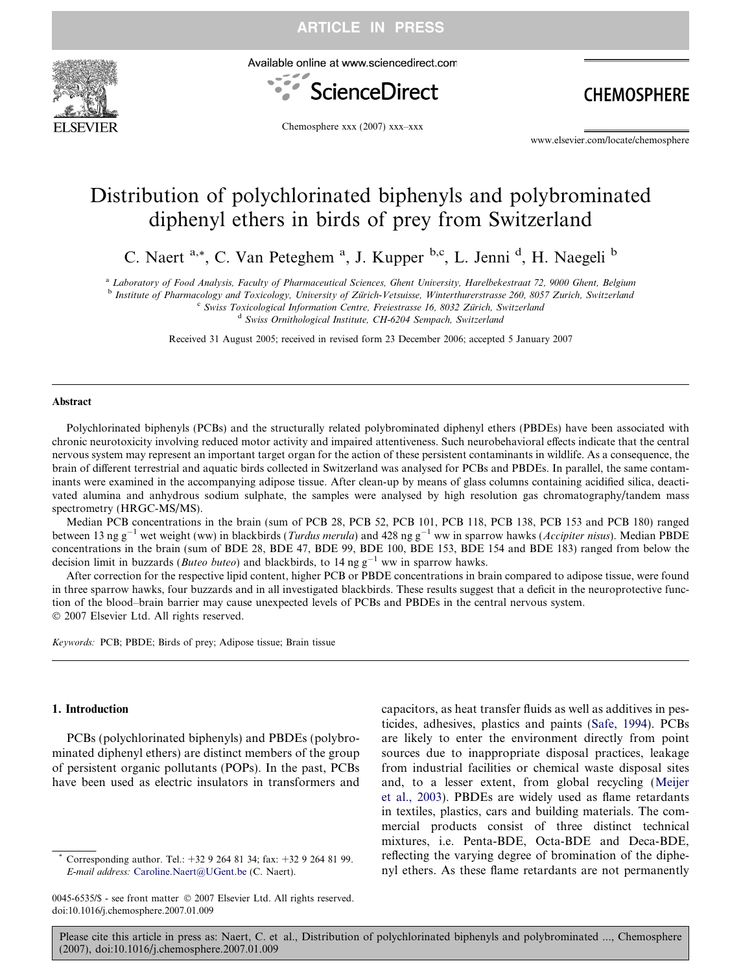

Available online at www.sciencedirect.com



**CHEMOSPHERE** 

Chemosphere xxx (2007) xxx–xxx

www.elsevier.com/locate/chemosphere

# Distribution of polychlorinated biphenyls and polybrominated diphenyl ethers in birds of prey from Switzerland

C. Naert <sup>a,\*</sup>, C. Van Peteghem <sup>a</sup>, J. Kupper <sup>b,c</sup>, L. Jenni <sup>d</sup>, H. Naegeli <sup>b</sup>

<sup>a</sup> Laboratory of Food Analysis, Faculty of Pharmaceutical Sciences, Ghent University, Harelbekestraat 72, 9000 Ghent, Belgium

<sup>b</sup> Institute of Pharmacology and Toxicology, University of Zürich-Vetsuisse, Winterthurerstrasse 260, 8057 Zurich, Switzerland<br><sup>6</sup> Swiss Toxicological Information Centre, Freiestrasse 16, 8032 Zürich, Switzerland<br><sup>4</sup> Swis

Received 31 August 2005; received in revised form 23 December 2006; accepted 5 January 2007

#### Abstract

Polychlorinated biphenyls (PCBs) and the structurally related polybrominated diphenyl ethers (PBDEs) have been associated with chronic neurotoxicity involving reduced motor activity and impaired attentiveness. Such neurobehavioral effects indicate that the central nervous system may represent an important target organ for the action of these persistent contaminants in wildlife. As a consequence, the brain of different terrestrial and aquatic birds collected in Switzerland was analysed for PCBs and PBDEs. In parallel, the same contaminants were examined in the accompanying adipose tissue. After clean-up by means of glass columns containing acidified silica, deactivated alumina and anhydrous sodium sulphate, the samples were analysed by high resolution gas chromatography/tandem mass spectrometry (HRGC-MS/MS).

Median PCB concentrations in the brain (sum of PCB 28, PCB 52, PCB 101, PCB 118, PCB 138, PCB 153 and PCB 180) ranged between 13 ng g<sup>-1</sup> wet weight (ww) in blackbirds (*Turdus merula*) and 428 ng g<sup>-1</sup> ww in sparrow hawks (*Accipiter nisus*). Median PBDE concentrations in the brain (sum of BDE 28, BDE 47, BDE 99, BDE 100, BDE 153, BDE 154 and BDE 183) ranged from below the decision limit in buzzards (*Buteo buteo*) and blackbirds, to 14 ng  $g^{-1}$  ww in sparrow hawks.

After correction for the respective lipid content, higher PCB or PBDE concentrations in brain compared to adipose tissue, were found in three sparrow hawks, four buzzards and in all investigated blackbirds. These results suggest that a deficit in the neuroprotective function of the blood–brain barrier may cause unexpected levels of PCBs and PBDEs in the central nervous system.  $© 2007 Elsevier Ltd. All rights reserved.$ 

Keywords: PCB; PBDE; Birds of prey; Adipose tissue; Brain tissue

#### 1. Introduction

PCBs (polychlorinated biphenyls) and PBDEs (polybrominated diphenyl ethers) are distinct members of the group of persistent organic pollutants (POPs). In the past, PCBs have been used as electric insulators in transformers and capacitors, as heat transfer fluids as well as additives in pesticides, adhesives, plastics and paints ([Safe, 1994](#page-10-0)). PCBs are likely to enter the environment directly from point sources due to inappropriate disposal practices, leakage from industrial facilities or chemical waste disposal sites and, to a lesser extent, from global recycling ([Meijer](#page-9-0) [et al., 2003\)](#page-9-0). PBDEs are widely used as flame retardants in textiles, plastics, cars and building materials. The commercial products consist of three distinct technical mixtures, i.e. Penta-BDE, Octa-BDE and Deca-BDE, reflecting the varying degree of bromination of the diphenyl ethers. As these flame retardants are not permanently

Corresponding author. Tel.: +32 9 264 81 34; fax: +32 9 264 81 99. E-mail address: [Caroline.Naert@UGent.be](mailto:Caroline.Naert@UGent.be) (C. Naert).

<sup>0045-6535/\$ -</sup> see front matter © 2007 Elsevier Ltd. All rights reserved. doi:10.1016/j.chemosphere.2007.01.009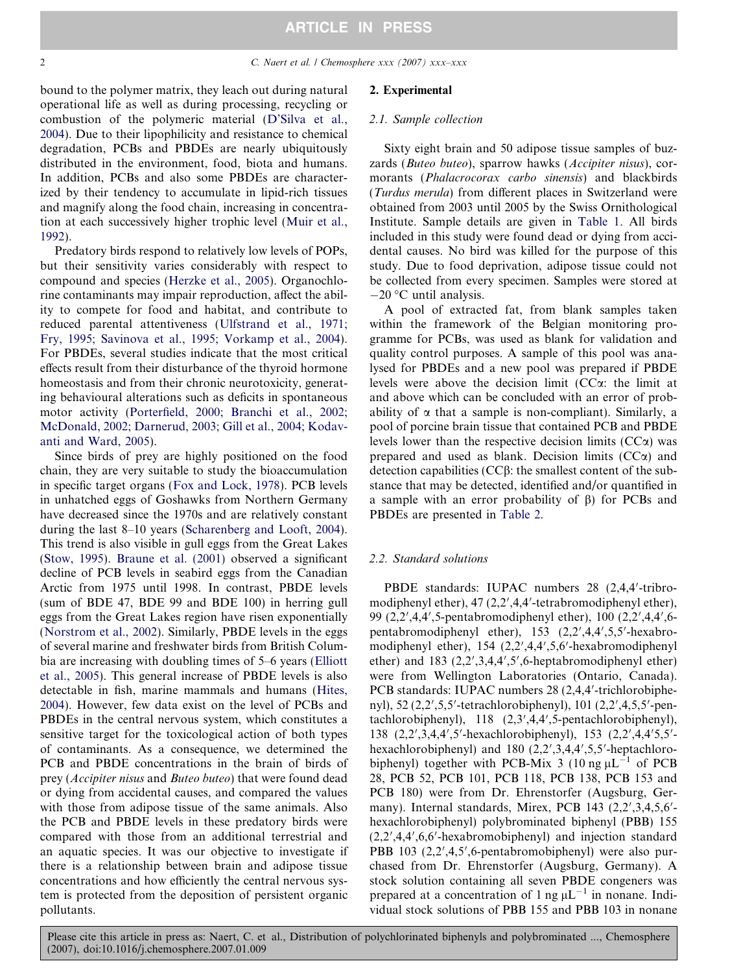bound to the polymer matrix, they leach out during natural operational life as well as during processing, recycling or combustion of the polymeric material [\(D'Silva et al.,](#page-9-0) [2004\)](#page-9-0). Due to their lipophilicity and resistance to chemical degradation, PCBs and PBDEs are nearly ubiquitously distributed in the environment, food, biota and humans. In addition, PCBs and also some PBDEs are characterized by their tendency to accumulate in lipid-rich tissues and magnify along the food chain, increasing in concentration at each successively higher trophic level ([Muir et al.,](#page-9-0) [1992\)](#page-9-0).

Predatory birds respond to relatively low levels of POPs, but their sensitivity varies considerably with respect to compound and species ([Herzke et al., 2005](#page-9-0)). Organochlorine contaminants may impair reproduction, affect the ability to compete for food and habitat, and contribute to reduced parental attentiveness [\(Ulfstrand et al., 1971;](#page-10-0) [Fry, 1995; Savinova et al., 1995; Vorkamp et al., 2004\)](#page-10-0). For PBDEs, several studies indicate that the most critical effects result from their disturbance of the thyroid hormone homeostasis and from their chronic neurotoxicity, generating behavioural alterations such as deficits in spontaneous motor activity ([Porterfield, 2000; Branchi et al., 2002;](#page-10-0) [McDonald, 2002; Darnerud, 2003; Gill et al., 2004; Kodav](#page-10-0)[anti and Ward, 2005](#page-10-0)).

Since birds of prey are highly positioned on the food chain, they are very suitable to study the bioaccumulation in specific target organs [\(Fox and Lock, 1978\)](#page-9-0). PCB levels in unhatched eggs of Goshawks from Northern Germany have decreased since the 1970s and are relatively constant during the last 8–10 years [\(Scharenberg and Looft, 2004\)](#page-10-0). This trend is also visible in gull eggs from the Great Lakes [\(Stow, 1995\)](#page-10-0). [Braune et al. \(2001\)](#page-9-0) observed a significant decline of PCB levels in seabird eggs from the Canadian Arctic from 1975 until 1998. In contrast, PBDE levels (sum of BDE 47, BDE 99 and BDE 100) in herring gull eggs from the Great Lakes region have risen exponentially [\(Norstrom et al., 2002](#page-10-0)). Similarly, PBDE levels in the eggs of several marine and freshwater birds from British Columbia are increasing with doubling times of 5–6 years ([Elliott](#page-9-0) [et al., 2005](#page-9-0)). This general increase of PBDE levels is also detectable in fish, marine mammals and humans ([Hites,](#page-9-0) [2004\)](#page-9-0). However, few data exist on the level of PCBs and PBDEs in the central nervous system, which constitutes a sensitive target for the toxicological action of both types of contaminants. As a consequence, we determined the PCB and PBDE concentrations in the brain of birds of prey (Accipiter nisus and Buteo buteo) that were found dead or dying from accidental causes, and compared the values with those from adipose tissue of the same animals. Also the PCB and PBDE levels in these predatory birds were compared with those from an additional terrestrial and an aquatic species. It was our objective to investigate if there is a relationship between brain and adipose tissue concentrations and how efficiently the central nervous system is protected from the deposition of persistent organic pollutants.

## 2. Experimental

#### 2.1. Sample collection

Sixty eight brain and 50 adipose tissue samples of buzzards (Buteo buteo), sparrow hawks (Accipiter nisus), cormorants (Phalacrocorax carbo sinensis) and blackbirds (Turdus merula) from different places in Switzerland were obtained from 2003 until 2005 by the Swiss Ornithological Institute. Sample details are given in [Table 1.](#page-2-0) All birds included in this study were found dead or dying from accidental causes. No bird was killed for the purpose of this study. Due to food deprivation, adipose tissue could not be collected from every specimen. Samples were stored at  $-20$  °C until analysis.

A pool of extracted fat, from blank samples taken within the framework of the Belgian monitoring programme for PCBs, was used as blank for validation and quality control purposes. A sample of this pool was analysed for PBDEs and a new pool was prepared if PBDE levels were above the decision limit  $(CC\alpha)$ : the limit at and above which can be concluded with an error of probability of  $\alpha$  that a sample is non-compliant). Similarly, a pool of porcine brain tissue that contained PCB and PBDE levels lower than the respective decision limits  $(CC<sub>\alpha</sub>)$  was prepared and used as blank. Decision limits  $(CC\alpha)$  and detection capabilities ( $CC\beta$ : the smallest content of the substance that may be detected, identified and/or quantified in a sample with an error probability of  $\beta$ ) for PCBs and PBDEs are presented in [Table 2](#page-3-0).

### 2.2. Standard solutions

PBDE standards: IUPAC numbers 28 (2,4,4'-tribromodiphenyl ether), 47 (2,2',4,4'-tetrabromodiphenyl ether), 99 (2,2',4,4',5-pentabromodiphenyl ether), 100 (2,2',4,4',6pentabromodiphenyl ether), 153 (2,2',4,4',5,5'-hexabromodiphenyl ether), 154 (2,2',4,4',5,6'-hexabromodiphenyl ether) and  $183$   $(2,2',3,4,4',5',6$ -heptabromodiphenyl ether) were from Wellington Laboratories (Ontario, Canada). PCB standards: IUPAC numbers 28 (2,4,4'-trichlorobiphenyl), 52 (2,2',5,5'-tetrachlorobiphenyl), 101 (2,2',4,5,5'-pentachlorobiphenyl), 118 (2,3',4,4',5-pentachlorobiphenyl), 138 (2,2',3,4,4',5'-hexachlorobiphenyl), 153 (2,2',4,4'5,5'hexachlorobiphenyl) and 180 (2,2',3,4,4',5,5'-heptachlorobiphenyl) together with PCB-Mix 3 (10 ng  $\mu L^{-1}$  of PCB 28, PCB 52, PCB 101, PCB 118, PCB 138, PCB 153 and PCB 180) were from Dr. Ehrenstorfer (Augsburg, Germany). Internal standards, Mirex, PCB 143 (2,2',3,4,5,6'hexachlorobiphenyl) polybrominated biphenyl (PBB) 155 (2,2',4,4',6,6'-hexabromobiphenyl) and injection standard PBB 103 (2,2',4,5',6-pentabromobiphenyl) were also purchased from Dr. Ehrenstorfer (Augsburg, Germany). A stock solution containing all seven PBDE congeners was prepared at a concentration of 1 ng  $\mu L^{-1}$  in nonane. Individual stock solutions of PBB 155 and PBB 103 in nonane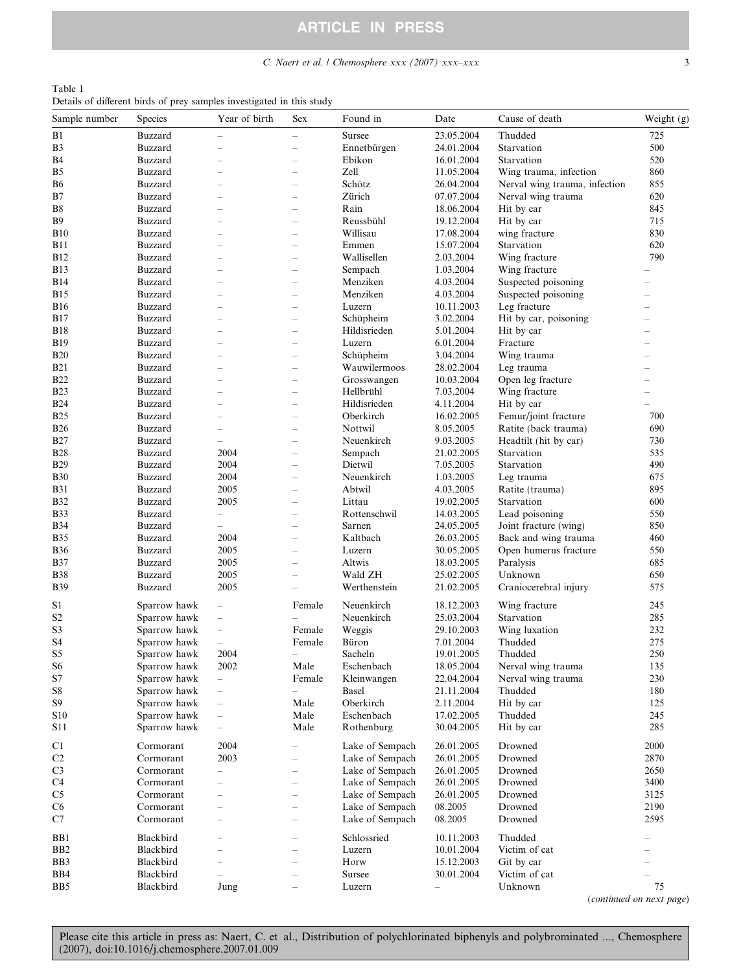## C. Naert et al.  $\frac{1}{2}$  Chemosphere xxx (2007) xxx–xxx 3

<span id="page-2-0"></span>

| Table 1                                                               |  |  |  |  |
|-----------------------------------------------------------------------|--|--|--|--|
| Details of different birds of prey samples investigated in this study |  |  |  |  |

| Sample number         | Species                      | Year of birth            | <b>Sex</b>               | Found in        | Date       | Cause of death                | Weight (g)               |
|-----------------------|------------------------------|--------------------------|--------------------------|-----------------|------------|-------------------------------|--------------------------|
| B1                    | Buzzard                      | $\overline{\phantom{0}}$ | $\overline{\phantom{0}}$ | Sursee          | 23.05.2004 | Thudded                       | 725                      |
| B3                    | <b>Buzzard</b>               | $\overline{\phantom{a}}$ | $\overline{\phantom{0}}$ | Ennetbürgen     | 24.01.2004 | Starvation                    | 500                      |
| <b>B</b> 4            | <b>Buzzard</b>               | $\overline{\phantom{0}}$ | $\overline{\phantom{0}}$ | Ebikon          | 16.01.2004 | Starvation                    | 520                      |
| B5                    | <b>Buzzard</b>               |                          | $\overline{\phantom{0}}$ | Zell            | 11.05.2004 | Wing trauma, infection        | 860                      |
| В6                    | <b>Buzzard</b>               | $\overline{\phantom{a}}$ | $\overline{\phantom{0}}$ | Schötz          | 26.04.2004 | Nerval wing trauma, infection | 855                      |
| B7                    | <b>Buzzard</b>               | $\overline{\phantom{0}}$ | $\overline{\phantom{0}}$ | Zürich          | 07.07.2004 | Nerval wing trauma            | 620                      |
| Β8                    | <b>Buzzard</b>               | $\overline{\phantom{a}}$ | $\overline{\phantom{0}}$ | Rain            | 18.06.2004 | Hit by car                    | 845                      |
| <b>B</b> <sup>9</sup> | <b>Buzzard</b>               | $\overline{\phantom{0}}$ | $\overline{\phantom{0}}$ | Reussbühl       | 19.12.2004 | Hit by car                    | 715                      |
| <b>B</b> 10           | Buzzard                      | $\overline{\phantom{0}}$ | $\overline{\phantom{0}}$ | Willisau        | 17.08.2004 | wing fracture                 | 830                      |
| <b>B11</b>            | <b>Buzzard</b>               | $\overline{\phantom{a}}$ | $\overline{\phantom{0}}$ | Emmen           | 15.07.2004 | Starvation                    | 620                      |
| B12                   | <b>Buzzard</b>               | $\overline{\phantom{0}}$ | $\overline{\phantom{0}}$ | Wallisellen     | 2.03.2004  | Wing fracture                 | 790                      |
| B13                   | <b>Buzzard</b>               | $\overline{\phantom{0}}$ | $\overline{\phantom{0}}$ | Sempach         | 1.03.2004  | Wing fracture                 |                          |
| <b>B14</b>            | <b>Buzzard</b>               | $\overline{\phantom{a}}$ | $\overline{\phantom{0}}$ | Menziken        | 4.03.2004  | Suspected poisoning           | $\overline{\phantom{0}}$ |
| <b>B15</b>            | <b>Buzzard</b>               | $\overline{\phantom{0}}$ | $\overline{\phantom{0}}$ | Menziken        |            | Suspected poisoning           | $\overline{\phantom{0}}$ |
| <b>B16</b>            |                              |                          |                          |                 | 4.03.2004  |                               |                          |
| <b>B17</b>            | <b>Buzzard</b>               | $\overline{\phantom{0}}$ | $\overline{\phantom{0}}$ | Luzern          | 10.11.2003 | Leg fracture                  | $\overline{\phantom{0}}$ |
|                       | <b>Buzzard</b>               | $\overline{\phantom{a}}$ | $\overline{\phantom{0}}$ | Schüpheim       | 3.02.2004  | Hit by car, poisoning         | $\overline{\phantom{0}}$ |
| <b>B18</b>            | <b>Buzzard</b>               | $\overline{\phantom{0}}$ | $\overline{\phantom{0}}$ | Hildisrieden    | 5.01.2004  | Hit by car                    | $\overline{\phantom{0}}$ |
| <b>B19</b>            | <b>Buzzard</b>               | $\overline{\phantom{0}}$ | $\overline{\phantom{0}}$ | Luzern          | 6.01.2004  | Fracture                      | $\overline{\phantom{0}}$ |
| <b>B20</b>            | <b>Buzzard</b>               | $\overline{\phantom{a}}$ | $\overline{\phantom{0}}$ | Schüpheim       | 3.04.2004  | Wing trauma                   | $\overline{\phantom{0}}$ |
| <b>B21</b>            | <b>Buzzard</b>               | $\overline{\phantom{0}}$ | $\overline{\phantom{0}}$ | Wauwilermoos    | 28.02.2004 | Leg trauma                    | $\overline{\phantom{0}}$ |
| B22                   | <b>Buzzard</b>               | $\overline{\phantom{0}}$ | $\overline{\phantom{0}}$ | Grosswangen     | 10.03.2004 | Open leg fracture             | $\overline{\phantom{0}}$ |
| <b>B23</b>            | <b>Buzzard</b>               | $\overline{\phantom{0}}$ | $\overline{\phantom{0}}$ | Hellbrühl       | 7.03.2004  | Wing fracture                 | $\overline{\phantom{0}}$ |
| <b>B24</b>            | <b>Buzzard</b>               | $\overline{\phantom{0}}$ | $\overline{\phantom{0}}$ | Hildisrieden    | 4.11.2004  | Hit by car                    |                          |
| <b>B25</b>            | <b>Buzzard</b>               | $\overline{\phantom{0}}$ | $\overline{\phantom{0}}$ | Oberkirch       | 16.02.2005 | Femur/joint fracture          | 700                      |
| <b>B26</b>            | <b>Buzzard</b>               | $\overline{\phantom{0}}$ | $\overline{\phantom{0}}$ | Nottwil         | 8.05.2005  | Ratite (back trauma)          | 690                      |
| <b>B27</b>            | <b>Buzzard</b>               | $\overline{\phantom{0}}$ | $\overline{\phantom{0}}$ | Neuenkirch      | 9.03.2005  | Headtilt (hit by car)         | 730                      |
| <b>B28</b>            | <b>Buzzard</b>               | 2004                     | $\overline{\phantom{0}}$ | Sempach         | 21.02.2005 | Starvation                    | 535                      |
| <b>B29</b>            | <b>Buzzard</b>               | 2004                     | $\overline{\phantom{0}}$ | Dietwil         | 7.05.2005  | Starvation                    | 490                      |
| <b>B30</b>            | <b>Buzzard</b>               | 2004                     | $\overline{\phantom{0}}$ | Neuenkirch      | 1.03.2005  | Leg trauma                    | 675                      |
| <b>B31</b>            | <b>Buzzard</b>               | 2005                     | $\overline{\phantom{0}}$ | Abtwil          | 4.03.2005  | Ratite (trauma)               | 895                      |
| <b>B32</b>            | <b>Buzzard</b>               | 2005                     | $\overline{\phantom{0}}$ | Littau          | 19.02.2005 | Starvation                    | 600                      |
| <b>B33</b>            | <b>Buzzard</b>               | $\overline{\phantom{0}}$ | $\overline{\phantom{0}}$ | Rottenschwil    | 14.03.2005 | Lead poisoning                | 550                      |
| <b>B34</b>            | <b>Buzzard</b>               | $\overline{\phantom{0}}$ | $\overline{\phantom{0}}$ | Sarnen          | 24.05.2005 | Joint fracture (wing)         | 850                      |
| <b>B35</b>            | <b>Buzzard</b>               | 2004                     | $\overline{\phantom{0}}$ | Kaltbach        | 26.03.2005 | Back and wing trauma          | 460                      |
| <b>B36</b>            | <b>Buzzard</b>               | 2005                     | $\overline{\phantom{0}}$ | Luzern          | 30.05.2005 | Open humerus fracture         | 550                      |
| <b>B37</b>            | <b>Buzzard</b>               | 2005                     | $\overline{\phantom{0}}$ | Altwis          | 18.03.2005 | Paralysis                     | 685                      |
| B38                   | <b>Buzzard</b>               | 2005                     | $\overline{\phantom{0}}$ | Wald ZH         | 25.02.2005 | Unknown                       | 650                      |
| <b>B39</b>            | <b>Buzzard</b>               | 2005                     | $\overline{\phantom{0}}$ | Werthenstein    | 21.02.2005 | Craniocerebral injury         | 575                      |
| S1                    | Sparrow hawk                 | $\qquad \qquad -$        | Female                   | Neuenkirch      | 18.12.2003 | Wing fracture                 | 245                      |
| S <sub>2</sub>        | Sparrow hawk                 | $\overline{\phantom{0}}$ |                          | Neuenkirch      | 25.03.2004 | Starvation                    | 285                      |
| S3                    | Sparrow hawk                 | $\overline{\phantom{0}}$ | Female                   | Weggis          | 29.10.2003 | Wing luxation                 | 232                      |
| S <sub>4</sub>        | Sparrow hawk                 | $\overline{\phantom{0}}$ | Female                   | Büron           | 7.01.2004  | Thudded                       | 275                      |
| S5                    | Sparrow hawk                 | 2004                     | $\overline{\phantom{0}}$ | Sacheln         | 19.01.2005 | Thudded                       | 250                      |
| S <sub>6</sub>        |                              | 2002                     | Male                     | Eschenbach      | 18.05.2004 | Nerval wing trauma            | 135                      |
|                       | Sparrow hawk<br>Sparrow hawk |                          |                          |                 |            |                               | 230                      |
| S7                    |                              | $\overline{\phantom{0}}$ | Female                   | Kleinwangen     | 22.04.2004 | Nerval wing trauma<br>Thudded |                          |
| S8                    | Sparrow hawk                 | $\overline{\phantom{0}}$ | $\equiv$                 | <b>Basel</b>    | 21.11.2004 |                               | 180                      |
| S9                    | Sparrow hawk                 |                          | Male                     | Oberkirch       | 2.11.2004  | Hit by car                    | 125                      |
| S10                   | Sparrow hawk                 | $\overline{\phantom{0}}$ | Male                     | Eschenbach      | 17.02.2005 | Thudded                       | 245                      |
| S11                   | Sparrow hawk                 | $\overline{\phantom{0}}$ | Male                     | Rothenburg      | 30.04.2005 | Hit by car                    | 285                      |
| C1                    | Cormorant                    | 2004                     | $\qquad \qquad -$        | Lake of Sempach | 26.01.2005 | Drowned                       | 2000                     |
| C <sub>2</sub>        | Cormorant                    | 2003                     | $\qquad \qquad -$        | Lake of Sempach | 26.01.2005 | Drowned                       | 2870                     |
| C <sub>3</sub>        | Cormorant                    | $\overline{\phantom{0}}$ | $\overline{\phantom{0}}$ | Lake of Sempach | 26.01.2005 | Drowned                       | 2650                     |
| C <sub>4</sub>        | Cormorant                    | $\overline{\phantom{0}}$ | $\overline{\phantom{0}}$ | Lake of Sempach | 26.01.2005 | Drowned                       | 3400                     |
| C <sub>5</sub>        | Cormorant                    |                          | $\overline{\phantom{0}}$ | Lake of Sempach | 26.01.2005 | Drowned                       | 3125                     |
| C <sub>6</sub>        | Cormorant                    |                          | $\overline{\phantom{0}}$ | Lake of Sempach | 08.2005    | Drowned                       | 2190                     |
| C7                    | Cormorant                    | $\overline{\phantom{0}}$ | $\overline{\phantom{0}}$ | Lake of Sempach | 08.2005    | Drowned                       | 2595                     |
|                       |                              |                          |                          |                 |            |                               |                          |
| BB1                   | Blackbird                    |                          | $\overline{\phantom{0}}$ | Schlossried     | 10.11.2003 | Thudded                       |                          |
| B <sub>B2</sub>       | Blackbird                    |                          | $\qquad \qquad -$        | Luzern          | 10.01.2004 | Victim of cat                 |                          |
| BB3                   | Blackbird                    | $\overline{\phantom{0}}$ | $\overline{\phantom{0}}$ | Horw            | 15.12.2003 | Git by car                    |                          |
| BB4                   | Blackbird                    |                          | $\overline{\phantom{0}}$ | Sursee          | 30.01.2004 | Victim of cat                 |                          |
| BB5                   | Blackbird                    | Jung                     | $\overline{\phantom{0}}$ | Luzern          |            | Unknown                       | 75                       |
|                       |                              |                          |                          |                 |            |                               | (continued on next page) |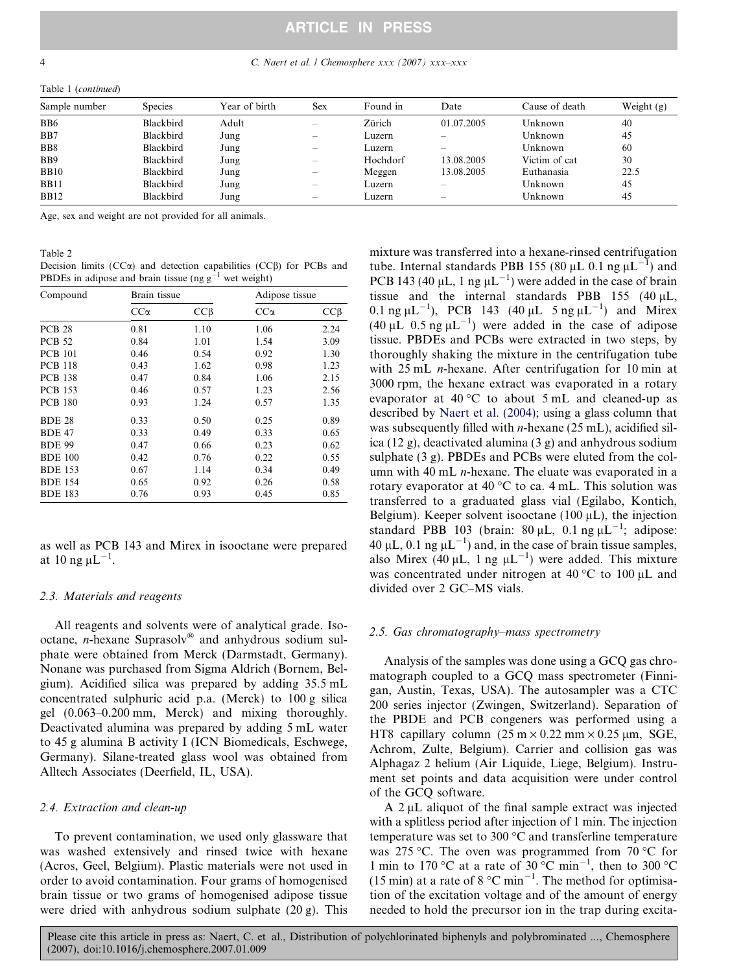<span id="page-3-0"></span>4 C. Naert et al. / Chemosphere xxx (2007) xxx–xxx

Table 1 (continued)

| Sample number    | <b>Species</b> | Year of birth | <b>Sex</b>                      | Found in | Date       | Cause of death | Weight $(g)$ |
|------------------|----------------|---------------|---------------------------------|----------|------------|----------------|--------------|
| B <sub>B6</sub>  | Blackbird      | Adult         | $\qquad \qquad$                 | Zürich   | 01.07.2005 | Unknown        | 40           |
| B <sub>B</sub> 7 | Blackbird      | Jung          | $\hspace{0.05cm}$               | Luzern   |            | Unknown        | 45           |
| B <sub>B8</sub>  | Blackbird      | Jung          | $\qquad \qquad$                 | Luzern   |            | Unknown        | 60           |
| B <sub>B9</sub>  | Blackbird      | Jung          | $\hspace{0.1mm}-\hspace{0.1mm}$ | Hochdorf | 13.08.2005 | Victim of cat  | 30           |
| <b>BB10</b>      | Blackbird      | Jung          | $\hspace{0.05cm}$               | Meggen   | 13.08.2005 | Euthanasia     | 22.5         |
| <b>BB11</b>      | Blackbird      | Jung          | $\hspace{0.05cm}$               | Luzern   |            | Unknown        | 45           |
| <b>BB12</b>      | Blackbird      | Jung          | $\hspace{0.05cm}$               | Luzern   |            | Unknown        | 45           |

Age, sex and weight are not provided for all animals.

#### Table 2

Decision limits  $(CC\alpha)$  and detection capabilities  $(CC\beta)$  for PCBs and PBDEs in adipose and brain tissue (ng  $g^{-1}$  wet weight)

| Compound       | Brain tissue |           | Adipose tissue |           |
|----------------|--------------|-----------|----------------|-----------|
|                | $CC\alpha$   | $CC\beta$ | $CC\alpha$     | $CC\beta$ |
| <b>PCB 28</b>  | 0.81         | 1.10      | 1.06           | 2.24      |
| <b>PCB 52</b>  | 0.84         | 1.01      | 1.54           | 3.09      |
| <b>PCB 101</b> | 0.46         | 0.54      | 0.92           | 1.30      |
| <b>PCB 118</b> | 0.43         | 1.62      | 0.98           | 1.23      |
| <b>PCB</b> 138 | 0.47         | 0.84      | 1.06           | 2.15      |
| <b>PCB</b> 153 | 0.46         | 0.57      | 1.23           | 2.56      |
| <b>PCB 180</b> | 0.93         | 1.24      | 0.57           | 1.35      |
| <b>BDE 28</b>  | 0.33         | 0.50      | 0.25           | 0.89      |
| <b>BDE 47</b>  | 0.33         | 0.49      | 0.33           | 0.65      |
| <b>BDE 99</b>  | 0.47         | 0.66      | 0.23           | 0.62      |
| <b>BDE 100</b> | 0.42         | 0.76      | 0.22           | 0.55      |
| <b>BDE 153</b> | 0.67         | 1.14      | 0.34           | 0.49      |
| <b>BDE 154</b> | 0.65         | 0.92      | 0.26           | 0.58      |
| <b>BDE 183</b> | 0.76         | 0.93      | 0.45           | 0.85      |

as well as PCB 143 and Mirex in isooctane were prepared at 10 ng  $\mu L^{-1}$ .

#### 2.3. Materials and reagents

All reagents and solvents were of analytical grade. Isooctane, *n*-hexane Suprasolv<sup>®</sup> and anhydrous sodium sulphate were obtained from Merck (Darmstadt, Germany). Nonane was purchased from Sigma Aldrich (Bornem, Belgium). Acidified silica was prepared by adding 35.5 mL concentrated sulphuric acid p.a. (Merck) to 100 g silica gel (0.063–0.200 mm, Merck) and mixing thoroughly. Deactivated alumina was prepared by adding 5 mL water to 45 g alumina B activity I (ICN Biomedicals, Eschwege, Germany). Silane-treated glass wool was obtained from Alltech Associates (Deerfield, IL, USA).

#### 2.4. Extraction and clean-up

To prevent contamination, we used only glassware that was washed extensively and rinsed twice with hexane (Acros, Geel, Belgium). Plastic materials were not used in order to avoid contamination. Four grams of homogenised brain tissue or two grams of homogenised adipose tissue were dried with anhydrous sodium sulphate (20 g). This

mixture was transferred into a hexane-rinsed centrifugation tube. Internal standards PBB 155 (80  $\mu$ L 0.1 ng  $\mu$ L<sup>-1</sup>) and PCB 143 (40  $\mu$ L, 1 ng  $\mu$ L<sup>-1</sup>) were added in the case of brain tissue and the internal standards PBB 155 (40  $\mu$ L, 0.1 ng  $\mu L^{-1}$ ), PCB 143 (40  $\mu L$  5 ng  $\mu L^{-1}$ ) and Mirex  $(40 \mu L \ 0.5 \text{ ng } \mu L^{-1})$  were added in the case of adipose tissue. PBDEs and PCBs were extracted in two steps, by thoroughly shaking the mixture in the centrifugation tube with 25 mL *n*-hexane. After centrifugation for 10 min at 3000 rpm, the hexane extract was evaporated in a rotary evaporator at 40 °C to about 5 mL and cleaned-up as described by [Naert et al. \(2004\)](#page-10-0); using a glass column that was subsequently filled with  $n$ -hexane (25 mL), acidified silica (12 g), deactivated alumina (3 g) and anhydrous sodium sulphate (3 g). PBDEs and PCBs were eluted from the column with 40 mL  $n$ -hexane. The eluate was evaporated in a rotary evaporator at 40  $^{\circ}$ C to ca. 4 mL. This solution was transferred to a graduated glass vial (Egilabo, Kontich, Belgium). Keeper solvent isooctane (100  $\mu$ L), the injection standard PBB 103 (brain:  $80 \mu L$ , 0.1 ng  $\mu L^{-1}$ ; adipose: 40  $\mu$ L, 0.1 ng  $\mu$ L<sup>-1</sup>) and, in the case of brain tissue samples, also Mirex (40 µL, 1 ng  $\mu L^{-1}$ ) were added. This mixture was concentrated under nitrogen at 40 °C to 100  $\mu$ L and divided over 2 GC–MS vials.

#### 2.5. Gas chromatography–mass spectrometry

Analysis of the samples was done using a GCQ gas chromatograph coupled to a GCQ mass spectrometer (Finnigan, Austin, Texas, USA). The autosampler was a CTC 200 series injector (Zwingen, Switzerland). Separation of the PBDE and PCB congeners was performed using a HT8 capillary column  $(25 \text{ m} \times 0.22 \text{ mm} \times 0.25 \text{ µm}, \text{SGE},$ Achrom, Zulte, Belgium). Carrier and collision gas was Alphagaz 2 helium (Air Liquide, Liege, Belgium). Instrument set points and data acquisition were under control of the GCQ software.

A  $2 \mu L$  aliquot of the final sample extract was injected with a splitless period after injection of 1 min. The injection temperature was set to 300  $^{\circ}$ C and transferline temperature was 275 °C. The oven was programmed from 70 °C for 1 min to 170 °C at a rate of  $30^{\circ}$ C min<sup>-1</sup>, then to 300 °C (15 min) at a rate of 8  $^{\circ}$ C min<sup>-1</sup>. The method for optimisation of the excitation voltage and of the amount of energy needed to hold the precursor ion in the trap during excita-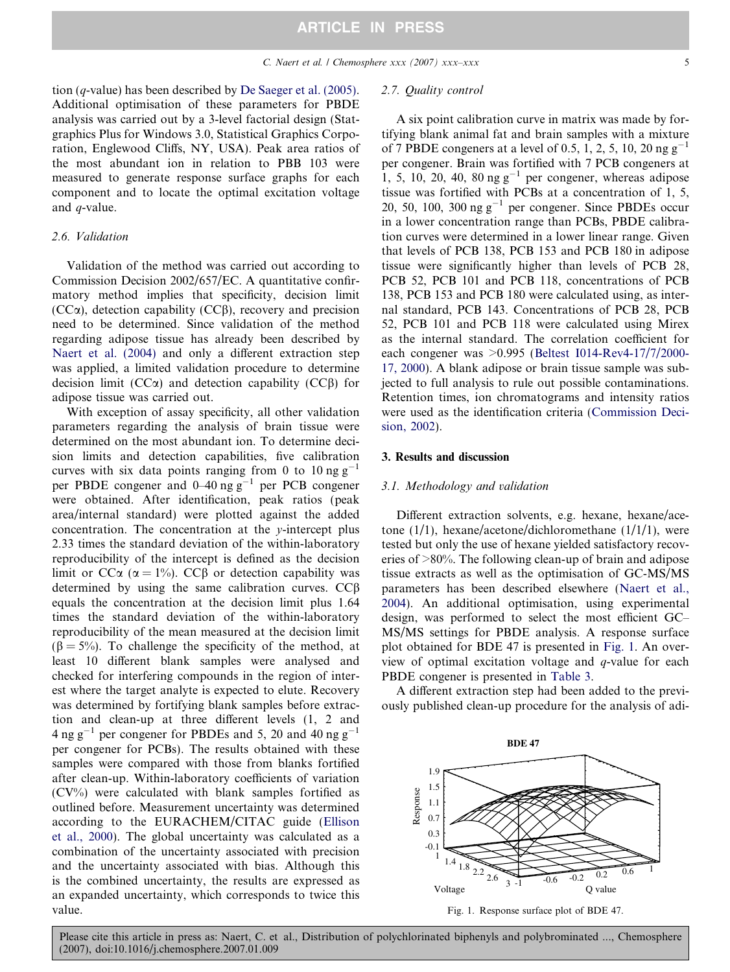tion (q-value) has been described by [De Saeger et al. \(2005\).](#page-9-0) Additional optimisation of these parameters for PBDE analysis was carried out by a 3-level factorial design (Statgraphics Plus for Windows 3.0, Statistical Graphics Corporation, Englewood Cliffs, NY, USA). Peak area ratios of the most abundant ion in relation to PBB 103 were measured to generate response surface graphs for each component and to locate the optimal excitation voltage and q-value.

#### 2.6. Validation

Validation of the method was carried out according to Commission Decision 2002/657/EC. A quantitative confirmatory method implies that specificity, decision limit  $(CC\alpha)$ , detection capability  $(CC\beta)$ , recovery and precision need to be determined. Since validation of the method regarding adipose tissue has already been described by [Naert et al. \(2004\)](#page-10-0) and only a different extraction step was applied, a limited validation procedure to determine decision limit ( $CC\alpha$ ) and detection capability ( $CC\beta$ ) for adipose tissue was carried out.

With exception of assay specificity, all other validation parameters regarding the analysis of brain tissue were determined on the most abundant ion. To determine decision limits and detection capabilities, five calibration curves with six data points ranging from 0 to 10 ng  $g^{-1}$ per PBDE congener and  $0-40$  ng  $g^{-1}$  per PCB congener were obtained. After identification, peak ratios (peak area/internal standard) were plotted against the added concentration. The concentration at the y-intercept plus 2.33 times the standard deviation of the within-laboratory reproducibility of the intercept is defined as the decision limit or  $CC\alpha$  ( $\alpha = 1\%$ ).  $CC\beta$  or detection capability was determined by using the same calibration curves.  $CC\beta$ equals the concentration at the decision limit plus 1.64 times the standard deviation of the within-laboratory reproducibility of the mean measured at the decision limit  $(\beta = 5\%)$ . To challenge the specificity of the method, at least 10 different blank samples were analysed and checked for interfering compounds in the region of interest where the target analyte is expected to elute. Recovery was determined by fortifying blank samples before extraction and clean-up at three different levels (1, 2 and 4 ng g<sup>-1</sup> per congener for PBDEs and 5, 20 and 40 ng g<sup>-1</sup> per congener for PCBs). The results obtained with these samples were compared with those from blanks fortified after clean-up. Within-laboratory coefficients of variation  $(CV\%)$  were calculated with blank samples fortified as outlined before. Measurement uncertainty was determined according to the EURACHEM/CITAC guide ([Ellison](#page-9-0) [et al., 2000](#page-9-0)). The global uncertainty was calculated as a combination of the uncertainty associated with precision and the uncertainty associated with bias. Although this is the combined uncertainty, the results are expressed as an expanded uncertainty, which corresponds to twice this value.

## 2.7. Quality control

A six point calibration curve in matrix was made by fortifying blank animal fat and brain samples with a mixture of 7 PBDE congeners at a level of 0.5, 1, 2, 5, 10, 20 ng  $g^{-1}$ per congener. Brain was fortified with 7 PCB congeners at 1, 5, 10, 20, 40, 80 ng  $g^{-1}$  per congener, whereas adipose tissue was fortified with PCBs at a concentration of 1, 5, 20, 50, 100, 300 ng  $g^{-1}$  per congener. Since PBDEs occur in a lower concentration range than PCBs, PBDE calibration curves were determined in a lower linear range. Given that levels of PCB 138, PCB 153 and PCB 180 in adipose tissue were significantly higher than levels of PCB 28, PCB 52, PCB 101 and PCB 118, concentrations of PCB 138, PCB 153 and PCB 180 were calculated using, as internal standard, PCB 143. Concentrations of PCB 28, PCB 52, PCB 101 and PCB 118 were calculated using Mirex as the internal standard. The correlation coefficient for each congener was >0.995 [\(Beltest I014-Rev4-17/7/2000-](#page-9-0) [17, 2000](#page-9-0)). A blank adipose or brain tissue sample was subjected to full analysis to rule out possible contaminations. Retention times, ion chromatograms and intensity ratios were used as the identification criteria ([Commission Deci](#page-9-0)[sion, 2002](#page-9-0)).

## 3. Results and discussion

#### 3.1. Methodology and validation

Different extraction solvents, e.g. hexane, hexane/acetone (1/1), hexane/acetone/dichloromethane (1/1/1), were tested but only the use of hexane yielded satisfactory recoveries of >80%. The following clean-up of brain and adipose tissue extracts as well as the optimisation of GC-MS/MS parameters has been described elsewhere ([Naert et al.,](#page-10-0) [2004](#page-10-0)). An additional optimisation, using experimental design, was performed to select the most efficient GC– MS/MS settings for PBDE analysis. A response surface plot obtained for BDE 47 is presented in Fig. 1. An overview of optimal excitation voltage and q-value for each PBDE congener is presented in [Table 3](#page-5-0).

A different extraction step had been added to the previously published clean-up procedure for the analysis of adi-

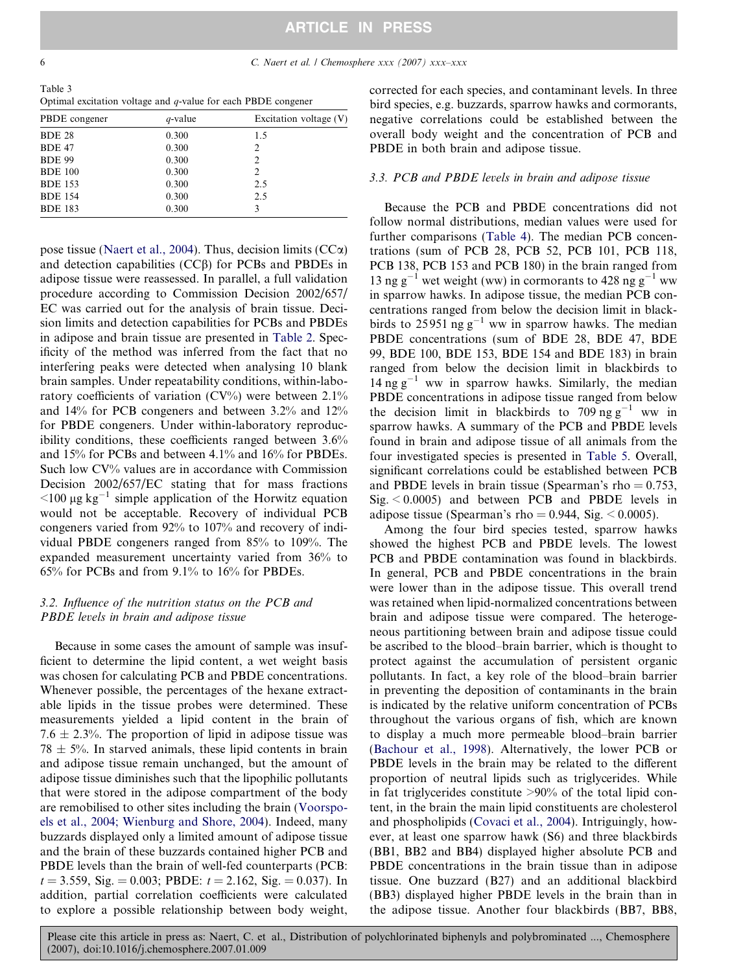<span id="page-5-0"></span>Table 3 Optimal excitation voltage and  $q$ -value for each PBDE congener

| PBDE congener  | q-value | Excitation voltage $(V)$ |
|----------------|---------|--------------------------|
| <b>BDE 28</b>  | 0.300   | 1.5                      |
| <b>BDE 47</b>  | 0.300   | 2                        |
| <b>BDE 99</b>  | 0.300   | $\overline{2}$           |
| <b>BDE 100</b> | 0.300   | $\overline{2}$           |
| <b>BDE 153</b> | 0.300   | 2.5                      |
| <b>BDE 154</b> | 0.300   | 2.5                      |
| <b>BDE 183</b> | 0.300   | 3                        |

pose tissue [\(Naert et al., 2004](#page-10-0)). Thus, decision limits  $(CC<sub>\alpha</sub>)$ and detection capabilities  $(CC\beta)$  for PCBs and PBDEs in adipose tissue were reassessed. In parallel, a full validation procedure according to Commission Decision 2002/657/ EC was carried out for the analysis of brain tissue. Decision limits and detection capabilities for PCBs and PBDEs in adipose and brain tissue are presented in [Table 2.](#page-3-0) Specificity of the method was inferred from the fact that no interfering peaks were detected when analysing 10 blank brain samples. Under repeatability conditions, within-laboratory coefficients of variation  $(CV%)$  were between 2.1% and 14% for PCB congeners and between 3.2% and 12% for PBDE congeners. Under within-laboratory reproducibility conditions, these coefficients ranged between 3.6% and 15% for PCBs and between 4.1% and 16% for PBDEs. Such low CV% values are in accordance with Commission Decision 2002/657/EC stating that for mass fractions  $\leq$ 100 µg kg<sup>-1</sup> simple application of the Horwitz equation would not be acceptable. Recovery of individual PCB congeners varied from 92% to 107% and recovery of individual PBDE congeners ranged from 85% to 109%. The expanded measurement uncertainty varied from 36% to 65% for PCBs and from 9.1% to 16% for PBDEs.

## 3.2. Influence of the nutrition status on the PCB and PBDE levels in brain and adipose tissue

Because in some cases the amount of sample was insufficient to determine the lipid content, a wet weight basis was chosen for calculating PCB and PBDE concentrations. Whenever possible, the percentages of the hexane extractable lipids in the tissue probes were determined. These measurements yielded a lipid content in the brain of 7.6  $\pm$  2.3%. The proportion of lipid in adipose tissue was  $78 \pm 5\%$ . In starved animals, these lipid contents in brain and adipose tissue remain unchanged, but the amount of adipose tissue diminishes such that the lipophilic pollutants that were stored in the adipose compartment of the body are remobilised to other sites including the brain ([Voorspo](#page-10-0)[els et al., 2004; Wienburg and Shore, 2004\)](#page-10-0). Indeed, many buzzards displayed only a limited amount of adipose tissue and the brain of these buzzards contained higher PCB and PBDE levels than the brain of well-fed counterparts (PCB:  $t = 3.559$ , Sig. = 0.003; PBDE:  $t = 2.162$ , Sig. = 0.037). In addition, partial correlation coefficients were calculated to explore a possible relationship between body weight,

corrected for each species, and contaminant levels. In three bird species, e.g. buzzards, sparrow hawks and cormorants, negative correlations could be established between the overall body weight and the concentration of PCB and PBDE in both brain and adipose tissue.

## 3.3. PCB and PBDE levels in brain and adipose tissue

Because the PCB and PBDE concentrations did not follow normal distributions, median values were used for further comparisons ([Table 4\)](#page-6-0). The median PCB concentrations (sum of PCB 28, PCB 52, PCB 101, PCB 118, PCB 138, PCB 153 and PCB 180) in the brain ranged from 13 ng  $g^{-1}$  wet weight (ww) in cormorants to 428 ng  $g^{-1}$  ww in sparrow hawks. In adipose tissue, the median PCB concentrations ranged from below the decision limit in blackbirds to 25951 ng  $g^{-1}$  ww in sparrow hawks. The median PBDE concentrations (sum of BDE 28, BDE 47, BDE 99, BDE 100, BDE 153, BDE 154 and BDE 183) in brain ranged from below the decision limit in blackbirds to  $14$  ng  $g^{-1}$  ww in sparrow hawks. Similarly, the median PBDE concentrations in adipose tissue ranged from below the decision limit in blackbirds to  $709$  ng g<sup>-1</sup> ww in sparrow hawks. A summary of the PCB and PBDE levels found in brain and adipose tissue of all animals from the four investigated species is presented in [Table 5](#page-7-0). Overall, significant correlations could be established between PCB and PBDE levels in brain tissue (Spearman's rho  $= 0.753$ ,  $Sig. < 0.0005$ ) and between PCB and PBDE levels in adipose tissue (Spearman's rho =  $0.944$ , Sig. <  $0.0005$ ).

Among the four bird species tested, sparrow hawks showed the highest PCB and PBDE levels. The lowest PCB and PBDE contamination was found in blackbirds. In general, PCB and PBDE concentrations in the brain were lower than in the adipose tissue. This overall trend was retained when lipid-normalized concentrations between brain and adipose tissue were compared. The heterogeneous partitioning between brain and adipose tissue could be ascribed to the blood–brain barrier, which is thought to protect against the accumulation of persistent organic pollutants. In fact, a key role of the blood–brain barrier in preventing the deposition of contaminants in the brain is indicated by the relative uniform concentration of PCBs throughout the various organs of fish, which are known to display a much more permeable blood–brain barrier [\(Bachour et al., 1998](#page-9-0)). Alternatively, the lower PCB or PBDE levels in the brain may be related to the different proportion of neutral lipids such as triglycerides. While in fat triglycerides constitute >90% of the total lipid content, in the brain the main lipid constituents are cholesterol and phospholipids ([Covaci et al., 2004](#page-9-0)). Intriguingly, however, at least one sparrow hawk (S6) and three blackbirds (BB1, BB2 and BB4) displayed higher absolute PCB and PBDE concentrations in the brain tissue than in adipose tissue. One buzzard (B27) and an additional blackbird (BB3) displayed higher PBDE levels in the brain than in the adipose tissue. Another four blackbirds (BB7, BB8,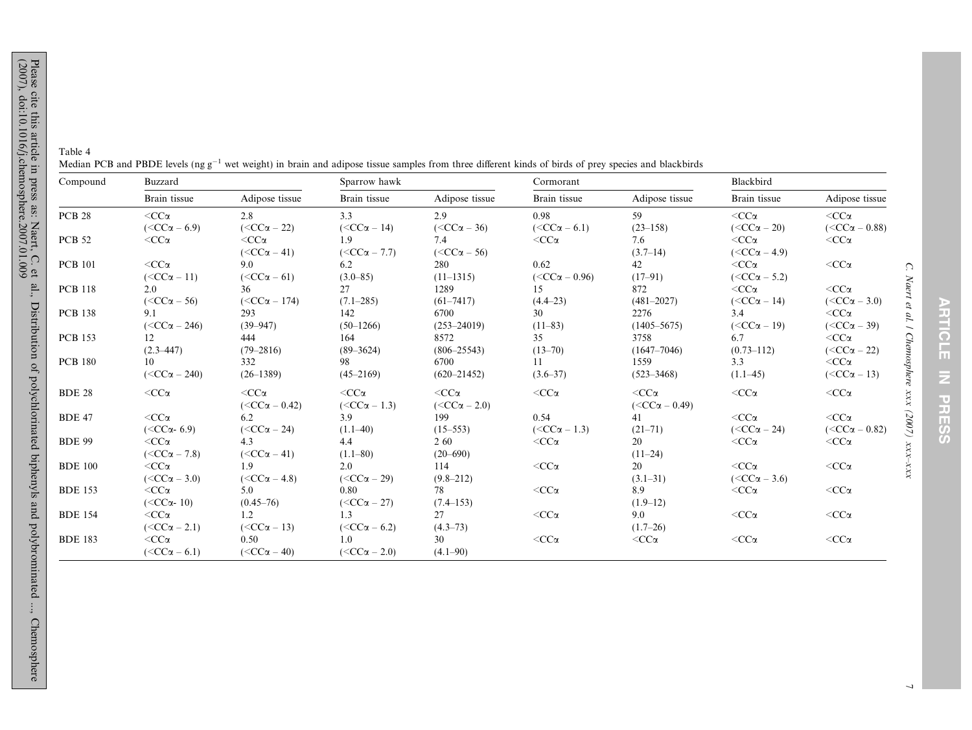<span id="page-6-0"></span>Table 4Median PCB and PBDE levels (ng  $g^{-1}$  wet weight) in brain and adipose tissue samples from three different kinds of birds of prey species and blackbirds

| Brain tissue<br>Adipose tissue                      |
|-----------------------------------------------------|
|                                                     |
| $<$ CC $\alpha$<br>$<$ CC $\alpha$                  |
| $(<{CC\alpha} - 20)$<br>$(<\text{CC}\alpha - 0.88)$ |
| $<$ CC $\alpha$<br>$<$ CC $\alpha$                  |
| $(<{CC\alpha-4.9}$                                  |
| $<$ CC $\alpha$<br>$<$ CC $\alpha$                  |
| $(<{CC\alpha-5.2}$ )                                |
| $<$ CC $\alpha$<br>$<$ CC $\alpha$                  |
| $(<{CC\alpha} - 14)$<br>$(<{CC\alpha - 3.0}$        |
| 3.4<br>$<$ CC $\alpha$                              |
| $(<{CC\alpha-19}$<br>$(<{CC\alpha-39}$ )            |
| $<$ CC $\alpha$<br>6.7                              |
| $(0.73 - 112)$<br>$(<{CC\alpha - 22}$               |
| $<$ CC $\alpha$<br>3.3                              |
| $(<{CC\alpha-13}$ )<br>$(1.1 - 45)$                 |
| $<$ CC $\alpha$<br>$<$ CC $\alpha$                  |
|                                                     |
| $<$ CC $\alpha$<br>$<$ CC $\alpha$                  |
| $(<{CC\alpha - 24}$<br>$(<\text{CC}\alpha - 0.82)$  |
| $<$ CC $\alpha$<br>$<$ CC $\alpha$                  |
|                                                     |
| $<$ CC $\alpha$<br>$<$ CC $\alpha$                  |
| $(<{CC\alpha-3.6}$                                  |
| $<$ CC $\alpha$<br>$<$ CC $\alpha$                  |
|                                                     |
| $<$ CC $\alpha$<br>$<$ CC $\alpha$                  |
|                                                     |
|                                                     |
| $<$ CC $\alpha$<br>$<$ CC $\alpha$                  |
|                                                     |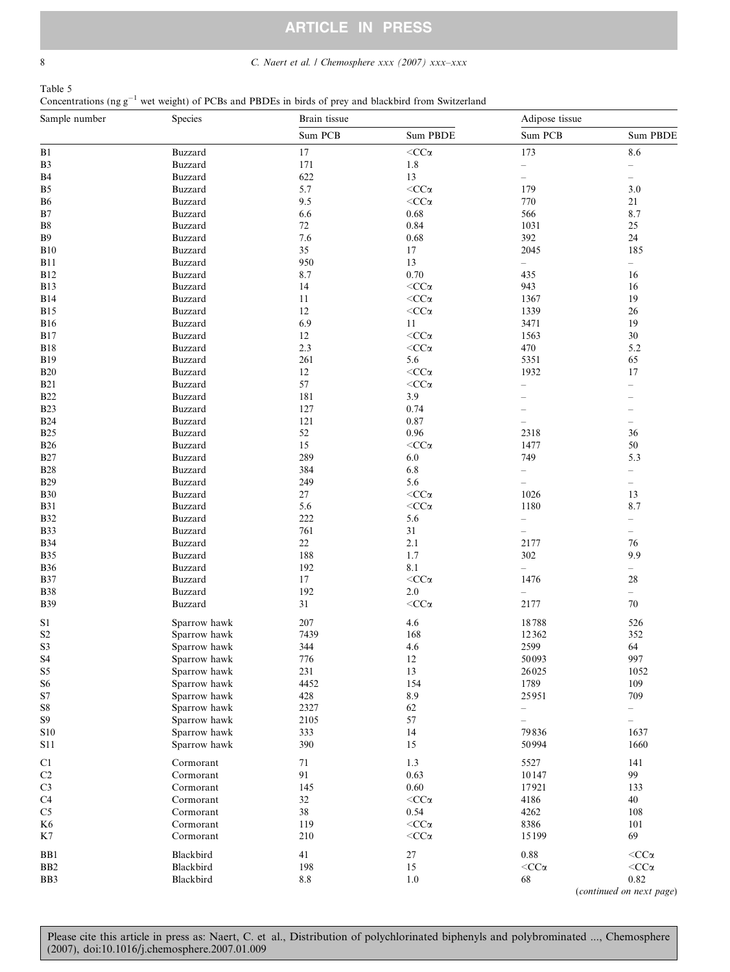<span id="page-7-0"></span>8 C. Naert et al. / Chemosphere xxx (2007) xxx-xxx

| Table 5                                                                                                   |  |  |  |  |  |  |
|-----------------------------------------------------------------------------------------------------------|--|--|--|--|--|--|
| Concentrations (ng $g^{-1}$ wet weight) of PCBs and PBDEs in birds of prey and blackbird from Switzerland |  |  |  |  |  |  |

| Sample number            | Species                      | Brain tissue |                                  | Adipose tissue           |                          |  |
|--------------------------|------------------------------|--------------|----------------------------------|--------------------------|--------------------------|--|
|                          |                              | Sum PCB      | Sum PBDE                         | Sum PCB                  | Sum PBDE                 |  |
| B1                       | <b>Buzzard</b>               | $17\,$       | $<\!\!CC\alpha$                  | 173                      | $8.6\,$                  |  |
| $\mathbf{B}3$            | Buzzard                      | 171          | $1.8\,$                          | $\overline{\phantom{0}}$ | $\overline{\phantom{0}}$ |  |
| <b>B4</b>                | Buzzard                      | 622          | 13                               | $\overline{\phantom{0}}$ | $\overline{\phantom{a}}$ |  |
| B <sub>5</sub>           | Buzzard                      | 5.7          | $<$ CC $\alpha$                  | 179                      | 3.0                      |  |
| <b>B6</b>                | Buzzard                      | 9.5          | $<\!\!CC\alpha$                  | 770                      | 21                       |  |
| B7                       | Buzzard                      | 6.6          | 0.68                             | 566                      | 8.7                      |  |
| ${\bf B}8$               | Buzzard                      | 72           | 0.84                             | 1031                     | 25                       |  |
| <b>B</b> 9               | Buzzard                      | 7.6          | 0.68                             | 392                      | 24                       |  |
| <b>B10</b>               | Buzzard                      | 35           | 17                               | 2045                     | 185                      |  |
| <b>B11</b>               | Buzzard                      | 950          | 13                               | $\overline{\phantom{0}}$ | $\overline{\phantom{0}}$ |  |
| <b>B12</b>               | Buzzard                      | 8.7          | 0.70                             | 435                      | 16                       |  |
| <b>B13</b>               | Buzzard                      | 14           | $<\!\!CC\alpha$                  | 943                      | 16                       |  |
| <b>B14</b>               | Buzzard                      | 11           | $<\!\!CC\alpha$                  | 1367                     | 19                       |  |
| <b>B15</b>               | Buzzard                      | 12           | $<\!\!CC\alpha$                  | 1339                     | 26                       |  |
| <b>B16</b>               | Buzzard                      | 6.9          | 11<br>$<$ CC $\alpha$            | 3471                     | 19<br>30                 |  |
| <b>B17</b>               | Buzzard<br>Buzzard           | 12<br>2.3    |                                  | 1563<br>470              | 5.2                      |  |
| <b>B18</b>               | Buzzard                      | 261          | $<$ CC $\alpha$<br>5.6           | 5351                     | 65                       |  |
| <b>B19</b><br><b>B20</b> | Buzzard                      | 12           | $<\!\!CC\alpha$                  | 1932                     | 17                       |  |
| <b>B21</b>               | <b>Buzzard</b>               | 57           | $<\!\!CC\alpha$                  |                          | $\overline{\phantom{0}}$ |  |
| <b>B22</b>               | Buzzard                      | 181          | 3.9                              |                          |                          |  |
| <b>B23</b>               | Buzzard                      | 127          | 0.74                             |                          |                          |  |
| <b>B24</b>               | Buzzard                      | 121          | 0.87                             | $\overline{\phantom{a}}$ | $\overline{\phantom{0}}$ |  |
| <b>B25</b>               | Buzzard                      | 52           | 0.96                             | 2318                     | 36                       |  |
| <b>B26</b>               | Buzzard                      | 15           | $<\!\!CC\alpha$                  | 1477                     | $50\,$                   |  |
| <b>B27</b>               | Buzzard                      | 289          | 6.0                              | 749                      | 5.3                      |  |
| <b>B28</b>               | Buzzard                      | 384          | 6.8                              | $\overline{\phantom{0}}$ | $\overline{\phantom{0}}$ |  |
| <b>B29</b>               | <b>Buzzard</b>               | 249          | 5.6                              |                          | $\overline{\phantom{0}}$ |  |
| <b>B30</b>               | Buzzard                      | 27           | $<$ CC $\alpha$                  | 1026                     | 13                       |  |
| <b>B31</b>               | Buzzard                      | 5.6          | $<$ CC $\alpha$                  | 1180                     | 8.7                      |  |
| <b>B32</b>               | <b>Buzzard</b>               | 222          | 5.6                              | $\overline{\phantom{0}}$ | $\overline{\phantom{0}}$ |  |
| <b>B33</b>               | Buzzard                      | 761          | 31                               | $\overline{\phantom{0}}$ | $\overline{\phantom{0}}$ |  |
| <b>B34</b>               | Buzzard                      | 22           | 2.1                              | 2177                     | 76                       |  |
| <b>B35</b>               | Buzzard                      | 188          | 1.7                              | 302                      | 9.9                      |  |
| <b>B36</b>               | Buzzard                      | 192          | 8.1                              | $\overline{\phantom{0}}$ | $\overline{\phantom{0}}$ |  |
| <b>B37</b>               | Buzzard                      | 17           | $<\!\!CC\alpha$                  | 1476                     | 28                       |  |
| <b>B38</b>               | Buzzard                      | 192          | $2.0\,$                          | $\overline{\phantom{0}}$ | $\overline{\phantom{0}}$ |  |
| <b>B39</b>               | Buzzard                      | 31           | $<\!\!CC\alpha$                  | 2177                     | 70                       |  |
| S1                       | Sparrow hawk                 | 207          | 4.6                              | 18788                    | 526                      |  |
| $\mathbf{S2}$            | Sparrow hawk                 | 7439         | 168                              | 12362                    | 352                      |  |
| S3                       | Sparrow hawk                 | 344          | 4.6                              | 2599                     | 64                       |  |
| S <sub>4</sub>           | Sparrow hawk                 | 776          | 12                               | 50093                    | 997                      |  |
| S <sub>5</sub>           | Sparrow hawk                 | 231          | 13                               | 26025                    | 1052                     |  |
| S <sub>6</sub>           | Sparrow hawk                 | 4452         | 154                              | 1789                     | 109                      |  |
| $\mathbf{S}7$            | Sparrow hawk                 | 428          | 8.9                              | 25951                    | 709                      |  |
| ${\bf S8}$               | Sparrow hawk                 | 2327         | 62                               | $\qquad \qquad -$        | $\overline{\phantom{0}}$ |  |
| S9                       | Sparrow hawk                 | 2105         | 57                               | $\qquad \qquad -$        | $\qquad \qquad -$        |  |
| <b>S10</b><br>S11        | Sparrow hawk<br>Sparrow hawk | 333<br>390   | 14<br>15                         | 79836<br>50994           | 1637<br>1660             |  |
|                          |                              |              |                                  |                          |                          |  |
| C1                       | Cormorant                    | 71           | 1.3                              | 5527                     | 141                      |  |
| $\rm C2$                 | Cormorant                    | 91           | 0.63                             | 10147                    | 99                       |  |
| C <sub>3</sub>           | Cormorant                    | 145          | 0.60                             | 17921                    | 133                      |  |
| C4                       | Cormorant                    | 32           | $<$ CC $\alpha$                  | 4186                     | 40                       |  |
| C <sub>5</sub>           | Cormorant                    | 38           | 0.54                             | 4262                     | 108                      |  |
| K <sub>6</sub>           | Cormorant<br>Cormorant       | 119          | $<\!CC\alpha$<br>$<\!\!CC\alpha$ | 8386<br>15199            | 101<br>69                |  |
| K7                       |                              | 210          |                                  |                          |                          |  |
| BB1                      | Blackbird                    | 41           | $27\,$                           | 0.88                     | $<\!\!CC\alpha$          |  |
| B <sub>B2</sub>          | Blackbird                    | 198          | 15                               | $<\!CC\alpha$            | $<$ CC $\alpha$          |  |
| BB3                      | Blackbird                    | $8.8\,$      | 1.0                              | 68                       | 0.82                     |  |

(continued on next page)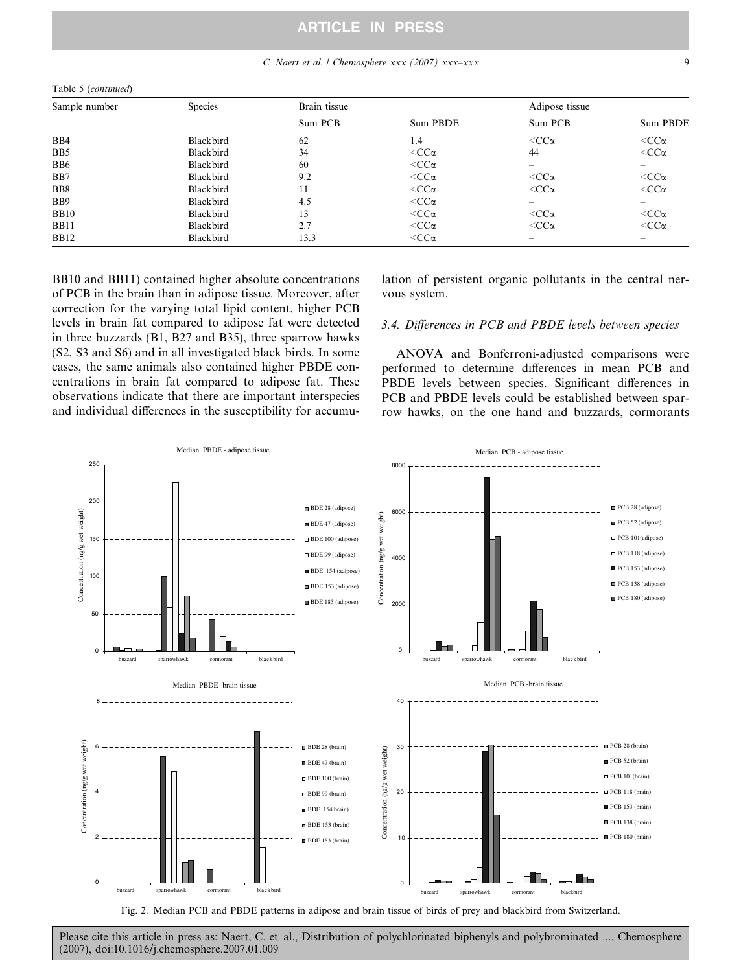## C. Naert et al. / Chemosphere xxx (2007) xxx–xxx 9

<span id="page-8-0"></span>

| Table 5 (continued) |           |              |                 |                          |                 |  |  |  |  |
|---------------------|-----------|--------------|-----------------|--------------------------|-----------------|--|--|--|--|
| Sample number       | Species   | Brain tissue |                 | Adipose tissue           |                 |  |  |  |  |
|                     |           | Sum PCB      | Sum PBDE        | Sum PCB                  | Sum PBDE        |  |  |  |  |
| B <sub>B</sub> 4    | Blackbird | 62           | 1.4             | $<$ CC $\alpha$          | $<$ CC $\alpha$ |  |  |  |  |
| B <sub>B5</sub>     | Blackbird | 34           | $<$ CC $\alpha$ | 44                       | $<$ CC $\alpha$ |  |  |  |  |
| B <sub>B6</sub>     | Blackbird | 60           | $<$ CC $\alpha$ |                          |                 |  |  |  |  |
| B <sub>B</sub> 7    | Blackbird | 9.2          | $<$ CC $\alpha$ | $<$ CC $\alpha$          | $<$ CC $\alpha$ |  |  |  |  |
| B <sub>B8</sub>     | Blackbird | 11           | $<$ CC $\alpha$ | $<$ CC $\alpha$          | $<$ CC $\alpha$ |  |  |  |  |
| B <sub>B</sub>      | Blackbird | 4.5          | $<$ CC $\alpha$ | $\overline{\phantom{a}}$ |                 |  |  |  |  |
| <b>BB10</b>         | Blackbird | 13           | $<$ CC $\alpha$ | $<$ CC $\alpha$          | $<$ CC $\alpha$ |  |  |  |  |
| <b>BB11</b>         | Blackbird | 2.7          | $<$ CC $\alpha$ | $<$ CC $\alpha$          | $<$ CC $\alpha$ |  |  |  |  |
| <b>BB12</b>         | Blackbird | 13.3         | $<$ CC $\alpha$ |                          |                 |  |  |  |  |

BB10 and BB11) contained higher absolute concentrations of PCB in the brain than in adipose tissue. Moreover, after correction for the varying total lipid content, higher PCB levels in brain fat compared to adipose fat were detected in three buzzards (B1, B27 and B35), three sparrow hawks (S2, S3 and S6) and in all investigated black birds. In some cases, the same animals also contained higher PBDE concentrations in brain fat compared to adipose fat. These observations indicate that there are important interspecies and individual differences in the susceptibility for accumulation of persistent organic pollutants in the central nervous system.

## 3.4. Differences in PCB and PBDE levels between species

ANOVA and Bonferroni-adjusted comparisons were performed to determine differences in mean PCB and PBDE levels between species. Significant differences in PCB and PBDE levels could be established between sparrow hawks, on the one hand and buzzards, cormorants



Fig. 2. Median PCB and PBDE patterns in adipose and brain tissue of birds of prey and blackbird from Switzerland.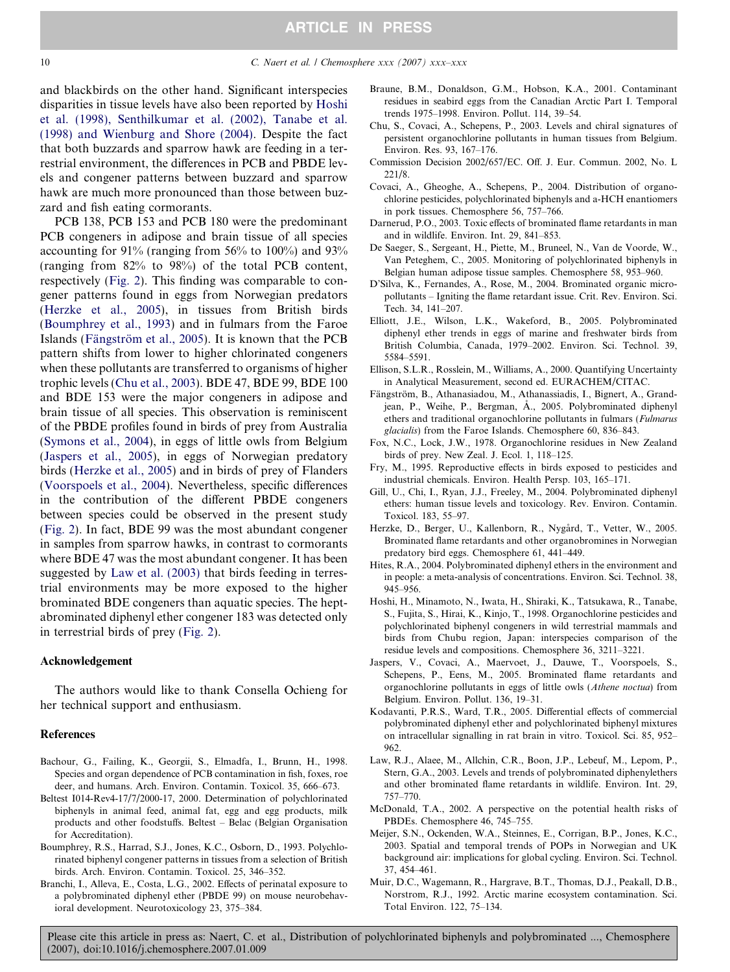<span id="page-9-0"></span>and blackbirds on the other hand. Significant interspecies disparities in tissue levels have also been reported by Hoshi et al. (1998), Senthilkumar et al. (2002), Tanabe et al. (1998) and Wienburg and Shore (2004). Despite the fact that both buzzards and sparrow hawk are feeding in a terrestrial environment, the differences in PCB and PBDE levels and congener patterns between buzzard and sparrow hawk are much more pronounced than those between buzzard and fish eating cormorants.

PCB 138, PCB 153 and PCB 180 were the predominant PCB congeners in adipose and brain tissue of all species accounting for 91% (ranging from 56% to 100%) and 93% (ranging from 82% to 98%) of the total PCB content, respectively ([Fig. 2\)](#page-8-0). This finding was comparable to congener patterns found in eggs from Norwegian predators (Herzke et al., 2005), in tissues from British birds (Boumphrey et al., 1993) and in fulmars from the Faroe Islands (Fängström et al., 2005). It is known that the PCB pattern shifts from lower to higher chlorinated congeners when these pollutants are transferred to organisms of higher trophic levels (Chu et al., 2003). BDE 47, BDE 99, BDE 100 and BDE 153 were the major congeners in adipose and brain tissue of all species. This observation is reminiscent of the PBDE profiles found in birds of prey from Australia [\(Symons et al., 2004\)](#page-10-0), in eggs of little owls from Belgium (Jaspers et al., 2005), in eggs of Norwegian predatory birds (Herzke et al., 2005) and in birds of prey of Flanders [\(Voorspoels et al., 2004](#page-10-0)). Nevertheless, specific differences in the contribution of the different PBDE congeners between species could be observed in the present study [\(Fig. 2](#page-8-0)). In fact, BDE 99 was the most abundant congener in samples from sparrow hawks, in contrast to cormorants where BDE 47 was the most abundant congener. It has been suggested by Law et al. (2003) that birds feeding in terrestrial environments may be more exposed to the higher brominated BDE congeners than aquatic species. The heptabrominated diphenyl ether congener 183 was detected only in terrestrial birds of prey [\(Fig. 2](#page-8-0)).

#### Acknowledgement

The authors would like to thank Consella Ochieng for her technical support and enthusiasm.

#### References

- Bachour, G., Failing, K., Georgii, S., Elmadfa, I., Brunn, H., 1998. Species and organ dependence of PCB contamination in fish, foxes, roe deer, and humans. Arch. Environ. Contamin. Toxicol. 35, 666–673.
- Beltest I014-Rev4-17/7/2000-17, 2000. Determination of polychlorinated biphenyls in animal feed, animal fat, egg and egg products, milk products and other foodstuffs. Beltest – Belac (Belgian Organisation for Accreditation).
- Boumphrey, R.S., Harrad, S.J., Jones, K.C., Osborn, D., 1993. Polychlorinated biphenyl congener patterns in tissues from a selection of British birds. Arch. Environ. Contamin. Toxicol. 25, 346–352.
- Branchi, I., Alleva, E., Costa, L.G., 2002. Effects of perinatal exposure to a polybrominated diphenyl ether (PBDE 99) on mouse neurobehavioral development. Neurotoxicology 23, 375–384.
- Braune, B.M., Donaldson, G.M., Hobson, K.A., 2001. Contaminant residues in seabird eggs from the Canadian Arctic Part I. Temporal trends 1975–1998. Environ. Pollut. 114, 39–54.
- Chu, S., Covaci, A., Schepens, P., 2003. Levels and chiral signatures of persistent organochlorine pollutants in human tissues from Belgium. Environ. Res. 93, 167–176.
- Commission Decision 2002/657/EC. Off. J. Eur. Commun. 2002, No. L 221/8.
- Covaci, A., Gheoghe, A., Schepens, P., 2004. Distribution of organochlorine pesticides, polychlorinated biphenyls and a-HCH enantiomers in pork tissues. Chemosphere 56, 757–766.
- Darnerud, P.O., 2003. Toxic effects of brominated flame retardants in man and in wildlife. Environ. Int. 29, 841–853.
- De Saeger, S., Sergeant, H., Piette, M., Bruneel, N., Van de Voorde, W., Van Peteghem, C., 2005. Monitoring of polychlorinated biphenyls in Belgian human adipose tissue samples. Chemosphere 58, 953–960.
- D'Silva, K., Fernandes, A., Rose, M., 2004. Brominated organic micropollutants – Igniting the flame retardant issue. Crit. Rev. Environ. Sci. Tech. 34, 141–207.
- Elliott, J.E., Wilson, L.K., Wakeford, B., 2005. Polybrominated diphenyl ether trends in eggs of marine and freshwater birds from British Columbia, Canada, 1979–2002. Environ. Sci. Technol. 39, 5584–5591.
- Ellison, S.L.R., Rosslein, M., Williams, A., 2000. Quantifying Uncertainty in Analytical Measurement, second ed. EURACHEM/CITAC.
- Fängström, B., Athanasiadou, M., Athanassiadis, I., Bignert, A., Grandjean, P., Weihe, P., Bergman, Å., 2005. Polybrominated diphenyl ethers and traditional organochlorine pollutants in fulmars (Fulmarus glacialis) from the Faroe Islands. Chemosphere 60, 836–843.
- Fox, N.C., Lock, J.W., 1978. Organochlorine residues in New Zealand birds of prey. New Zeal. J. Ecol. 1, 118–125.
- Fry, M., 1995. Reproductive effects in birds exposed to pesticides and industrial chemicals. Environ. Health Persp. 103, 165–171.
- Gill, U., Chi, I., Ryan, J.J., Freeley, M., 2004. Polybrominated diphenyl ethers: human tissue levels and toxicology. Rev. Environ. Contamin. Toxicol. 183, 55–97.
- Herzke, D., Berger, U., Kallenborn, R., Nygård, T., Vetter, W., 2005. Brominated flame retardants and other organobromines in Norwegian predatory bird eggs. Chemosphere 61, 441–449.
- Hites, R.A., 2004. Polybrominated diphenyl ethers in the environment and in people: a meta-analysis of concentrations. Environ. Sci. Technol. 38, 945–956.
- Hoshi, H., Minamoto, N., Iwata, H., Shiraki, K., Tatsukawa, R., Tanabe, S., Fujita, S., Hirai, K., Kinjo, T., 1998. Organochlorine pesticides and polychlorinated biphenyl congeners in wild terrestrial mammals and birds from Chubu region, Japan: interspecies comparison of the residue levels and compositions. Chemosphere 36, 3211–3221.
- Jaspers, V., Covaci, A., Maervoet, J., Dauwe, T., Voorspoels, S., Schepens, P., Eens, M., 2005. Brominated flame retardants and organochlorine pollutants in eggs of little owls (Athene noctua) from Belgium. Environ. Pollut. 136, 19–31.
- Kodavanti, P.R.S., Ward, T.R., 2005. Differential effects of commercial polybrominated diphenyl ether and polychlorinated biphenyl mixtures on intracellular signalling in rat brain in vitro. Toxicol. Sci. 85, 952– 962.
- Law, R.J., Alaee, M., Allchin, C.R., Boon, J.P., Lebeuf, M., Lepom, P., Stern, G.A., 2003. Levels and trends of polybrominated diphenylethers and other brominated flame retardants in wildlife. Environ. Int. 29, 757–770.
- McDonald, T.A., 2002. A perspective on the potential health risks of PBDEs. Chemosphere 46, 745–755.
- Meijer, S.N., Ockenden, W.A., Steinnes, E., Corrigan, B.P., Jones, K.C., 2003. Spatial and temporal trends of POPs in Norwegian and UK background air: implications for global cycling. Environ. Sci. Technol. 37, 454–461.
- Muir, D.C., Wagemann, R., Hargrave, B.T., Thomas, D.J., Peakall, D.B., Norstrom, R.J., 1992. Arctic marine ecosystem contamination. Sci. Total Environ. 122, 75–134.